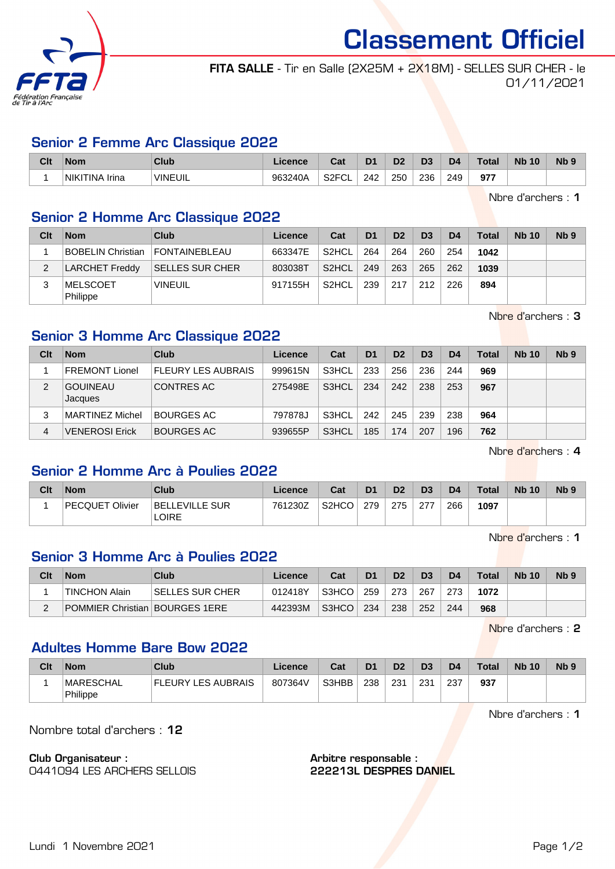

Classement Officiel

FITA SALLE - Tir en Salle (2X25M + 2X18M) - SELLES SUR CHER - le 01/11/2021

#### Senior 2 Femme Arc Classique 2022

| Clt | <b>Nom</b>                                | <b>Club</b>         | nnnnr<br>יווע | ่∼~<br>⊍م                | D <sub>1</sub> | ne.           | D3  | D4  | 'otal | <b>N<sub>b</sub></b><br>10 | N <sub>b</sub> <sub>9</sub> |
|-----|-------------------------------------------|---------------------|---------------|--------------------------|----------------|---------------|-----|-----|-------|----------------------------|-----------------------------|
|     | NIKI <sup>.</sup><br><b>FINA</b><br>Irina | `VINEUIL<br>_______ | 963240A       | S <sub>2</sub> FCL<br>◡∟ | 242            | 250<br>$\sim$ | 236 | 249 | 977   |                            |                             |

Nbre d'archers : 1

## Senior 2 Homme Arc Classique 2022

| Clt | <b>Nom</b>                  | Club                   | Licence | Cat                | D <sub>1</sub> | D <sub>2</sub> | D <sub>3</sub> | D <sub>4</sub> | <b>Total</b> | <b>Nb 10</b> | N <sub>b</sub> 9 |
|-----|-----------------------------|------------------------|---------|--------------------|----------------|----------------|----------------|----------------|--------------|--------------|------------------|
|     | <b>BOBELIN Christian</b>    | <b>FONTAINEBLEAU</b>   | 663347E | S <sub>2</sub> HCL | 264            | 264            | 260            | 254            | 1042         |              |                  |
|     | LARCHET Freddy              | <b>SELLES SUR CHER</b> | 803038T | S <sub>2</sub> HCL | 249            | 263            | 265            | 262            | 1039         |              |                  |
| ົ   | <b>MELSCOET</b><br>Philippe | <b>VINEUIL</b>         | 917155H | S2HCL              | 239            | 217            | 212            | 226            | 894          |              |                  |

Nbre d'archers : 3

## Senior 3 Homme Arc Classique 2022

| Clt | <b>Nom</b>                 | Club                      | Licence | Cat   | D <sub>1</sub> | D <sub>2</sub> | D <sub>3</sub> | D4  | Total | <b>Nb 10</b> | Nb <sub>9</sub> |
|-----|----------------------------|---------------------------|---------|-------|----------------|----------------|----------------|-----|-------|--------------|-----------------|
|     | <b>FREMONT Lionel</b>      | <b>FLEURY LES AUBRAIS</b> | 999615N | S3HCL | 233            | 256            | 236            | 244 | 969   |              |                 |
| 2   | <b>GOUINEAU</b><br>Jacques | CONTRES AC                | 275498E | S3HCL | 234            | 242            | 238            | 253 | 967   |              |                 |
| 3   | MARTINEZ Michel            | <b>BOURGES AC</b>         | 797878J | S3HCL | 242            | 245            | 239            | 238 | 964   |              |                 |
| 4   | VENEROSI Erick             | <b>BOURGES AC</b>         | 939655P | S3HCL | 185            | 174            | 207            | 196 | 762   |              |                 |

Nbre d'archers : 4

## Senior 2 Homme Arc à Poulies 2022

| Clt | <b>Nom</b>      | <b>Club</b>                    | Licence | Cat                | D <sub>1</sub> | D <sub>2</sub> | D <sub>3</sub> | D4  | Total <sub>z</sub> | <b>Nb 10</b> | N <sub>b</sub> <sub>9</sub> |
|-----|-----------------|--------------------------------|---------|--------------------|----------------|----------------|----------------|-----|--------------------|--------------|-----------------------------|
|     | PECQUET Olivier | <b>BELLEVILLE SUR</b><br>LOIRE | 761230Z | S <sub>2</sub> HCO | 279            | 275            | 277            | 266 | 1097               |              |                             |

Nbre d'archers : 1

## Senior 3 Homme Arc à Poulies 2022

| Clt | <b>Nom</b>                            | Club            | Licence | Cat   | D <sub>1</sub> | D <sub>2</sub> | D <sub>3</sub> | D <sub>4</sub> | <b>Total</b> | <b>Nb 10</b> | N <sub>b</sub> 9 |
|-----|---------------------------------------|-----------------|---------|-------|----------------|----------------|----------------|----------------|--------------|--------------|------------------|
|     | <b>TINCHON Alain</b>                  | SELLES SUR CHER | 012418Y | S3HCO | 259            | 273            | 267            | 273            | 1072         |              |                  |
|     | <b>POMMIER Christian BOURGES 1ERE</b> |                 | 442393M | S3HCO | 234            | 238            | 252            | 244            | 968          |              |                  |

Nbre d'archers : 2

## Adultes Homme Bare Bow 2022

| Clt | <b>Nom</b>                   | Club                      | Licence | Cat   | D1  | D <sub>2</sub> | D <sub>3</sub> | D <sub>4</sub> | <b>Total</b> | <b>Nb 10</b> | N <sub>b</sub> <sub>9</sub> |
|-----|------------------------------|---------------------------|---------|-------|-----|----------------|----------------|----------------|--------------|--------------|-----------------------------|
|     | <b>MARESCHAL</b><br>Philippe | <b>FLEURY LES AUBRAIS</b> | 807364V | S3HBB | 238 | 231            | 231            | 237            | 937          |              |                             |

Nbre d'archers : 1

Nombre total d'archers : 12

Club Organisateur :

0441094 LES ARCHERS SELLOIS

Arbitre responsable : 222213L DESPRES DANIEL